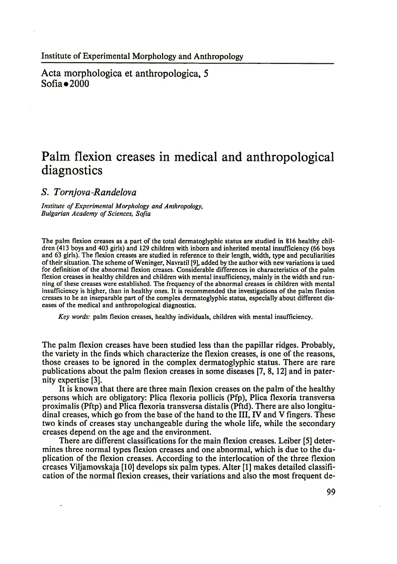Acta morphologica et anthropologica, 5  $Sofia$   $\bullet$   $2000$ 

# **Palm flexion creases in medical and anthropological diagnostics**

*S. Tornjova-Randelova*

*Institute of Experimental Morphology and Anthropology, Bulgarian Academy of Sciences, Sofia*

The palm flexion creases as a part of the total dermatoglyphic status are studied in 816 healthy children (413 boys and 403 girls) and 129 children with inborn and inherited mental insufficiency (66 boys and 63 girls). The flexion creases are studied in reference to their length, width, type and peculiarities of their situation. The scheme of Weninger, Navratil [9], added by the author with new variations is used for definition of the abnormal flexion creases. Considerable differences in characteristics of the palm flexion creases in healthy children and children with mental insufficiency, mainly in the width and running of these creases were established. The frequency of the abnormal creases in children with mental insufficiency is higher, than in healthy ones. It is recommended the investigations of the palm flexion creases to be an inseparable part of the complex dermatoglyphic status, especially about different diseases of the medical and anthropological diagnostics.

*Key words:* palm flexion creases, healthy individuals, children with mental insufficiency.

The palm flexion creases have been studied less than the papillar ridges. Probably, the variety in the finds which characterize the flexion creases, is one of the reasons, those creases to be ignored in the complex dermatoglyphic status. There are rare publications about the palm flexion creases in some diseases [7, 8,12] and in paternity expertise [3].

It is known that there are three main flexion creases on the palm of the healthy persons which are obligatory: Plica flexoria pollicis (Pfp), Plica flexoria transversa proximalis (Pftp) and Plica flexoria transversa distalis (Pftd). There are also longitudinal creases, which go from the base of the hand to the III, IV and V fingers. These two kinds of creases stay unchangeable during the whole life, while the secondary creases depend on the age and the environment.

There are different classifications for the main flexion creases. Leiber [5] determines three normal types flexion creases and one abnormal, which is due to the duplication of the flexion creases. According to the interlocation of the three flexion creases Viljamovskaja [10] develops six palm types. Alter [1] makes detailed classification of the normal flexion creases, their variations and also the most frequent de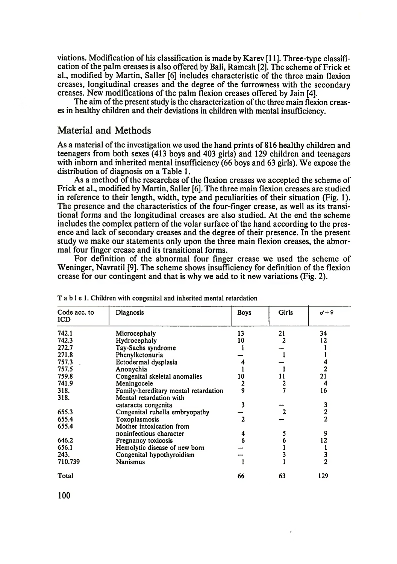viations. Modification of his classification is made by Karev [11]. Three-type classification of the palm creases is also offered by Bali, Ramesh [2]. The scheme of Frick et al., modified by Martin, Sailer [6] includes characteristic of the three main flexion creases, longitudinal creases and the degree of the furrowness with the secondary creases. New modifications of the palm flexion creases offered by Jain [4].

The aim of the present study is the characterization of the three main flexion creases in healthy children and their deviations in children with mental insufficiency.

## Material and Methods

As a material of the investigation we used the hand prints of 816 healthy children and teenagers from both sexes (413 boys and 403 girls) and 129 children and teenagers with inborn and inherited mental insufficiency (66 boys and 63 girls). We expose the distribution of diagnosis on a Table 1.

As a method of the researches of the flexion creases we accepted the scheme of Frick et al., modified by Martin, Sailer [6]. The three main flexion creases are studied in reference to their length, width, type and peculiarities of their situation (Fig. 1). The presence and the characteristics of the four-finger crease, as well as its transitional forms and the longitudinal creases are also studied. At the end the scheme includes the complex pattern of the volar surface of the hand according to the presence and lack of secondary creases and the degree of their presence. In the present study we make our statements only upon the three main flexion creases, the abnormal four finger crease and its transitional forms.

For definition of the abnormal four finger crease we used the scheme of Weninger, Navratil [9]. The scheme shows insufficiency for definition of the flexion crease for our contingent and that is why we add to it new variations (Fig. 2).

| Code acc. to<br><b>ICD</b> | Diagnosis                            | <b>Boys</b> | Girls | $0 + 9$        |
|----------------------------|--------------------------------------|-------------|-------|----------------|
| 742.1                      | Microcephaly                         | 13          | 21    | 34             |
| 742.3                      | Hydrocephaly                         | 10          |       | 12             |
| 272.7                      | Tay-Sachs syndrome                   |             |       |                |
| 271.8                      | Phenylketonuria                      |             |       |                |
| 757.3                      | Ectodermal dysplasia                 |             |       |                |
| 757.5                      | Anonychia                            |             |       | 2              |
| 759.8                      | Congenital skeletal anomalies        | 10          |       | 21             |
| 741.9                      | Meningocele                          |             |       | 4              |
| 318.                       | Family-hereditary mental retardation | 9           |       | 16             |
| 318.                       | Mental retardation with              |             |       |                |
|                            | cataracta congenita                  |             |       |                |
| 655.3                      | Congenital rubella embryopathy       |             |       | 3<br>2<br>2    |
| 655.4                      | Toxoplasmosis                        | 2           |       |                |
| 655.4                      | Mother intoxication from             |             |       |                |
|                            | noninfectious character              |             |       | 9              |
| 646.2                      | Pregnancy toxicosis                  |             |       | 12             |
| 656.1                      | Hemolytic disease of new born        |             |       |                |
| 243.                       | Congenital hypothyroidism            |             |       | 3              |
| 710.739                    | Nanismus                             |             |       | $\overline{2}$ |
|                            |                                      |             |       |                |
| Total                      |                                      | 66          | 63    | 129            |

T a b l e 1. Children with congenital and inherited mental retardation

100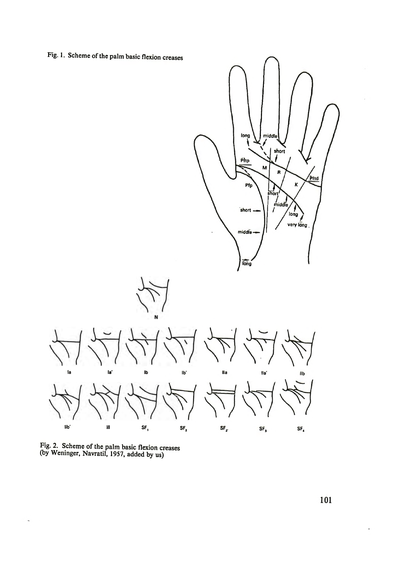Fig. 1. Scheme of the palm basic flexion creases





 $\overline{\phantom{a}}$ 

101

.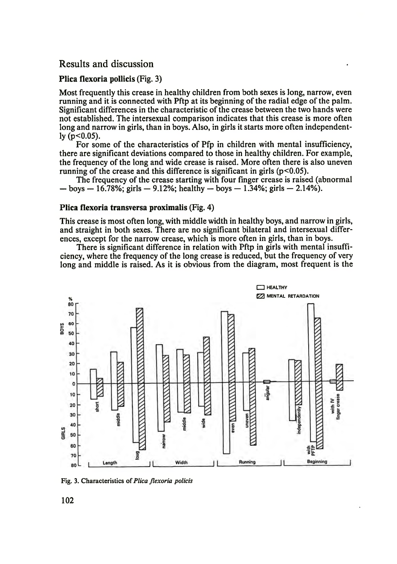## Results and discussion

### Plica flexoria pollicis (Fig. 3)

Most frequently this crease in healthy children from both sexes is long, narrow, even running and it is connected with Pftp at its beginning of the radial edge of the palm. Significant differences in the characteristic of the crease between the two hands were not established. The intersexual comparison indicates that this crease is more often long and narrow in girls, than in boys. Also, in girls it starts more often independently  $(p<0.05)$ .

For some of the characteristics of Pfp in children with mental insufficiency, there are significant deviations compared to those in healthy children. For example, the frequency of the long and wide crease is raised. More often there is also uneven running of the crease and this difference is significant in girls  $(p<0.05)$ .

The frequency of the crease starting with four finger crease is raised (abnormal  $-$  boys  $-$  16.78%; girls  $-$  9.12%; healthy  $-$  boys  $-$  1.34%; girls  $-$  2.14%).

#### Plica flexoria transversa proximalis (Fig. 4)

This crease is most often long, with middle width in healthy boys, and narrow in girls, and straight in both sexes. There are no significant bilateral and intersexual differences, except for the narrow crease, which is more often in girls, than in boys.

There is significant difference in relation with Pftp in girls with mental insufficiency, where the frequency of the long crease is reduced, but the frequency of very long and middle is raised. As it is obvious from the diagram, most frequent is the



Fig. 3. Characteristics of *Plica flexoria policis*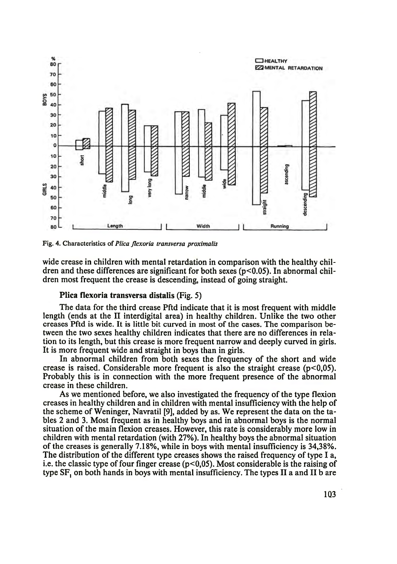

Fig. 4. Characteristics of *Plica Jlexoria transversa proximalis*

wide crease in children with mental retardation in comparison with the healthy children and these differences are significant for both sexes ( $p<0.05$ ). In abnormal children most frequent the crease is descending, instead of going straight.

### Plica flexoria transversa distalis (Fig. 5)

The data for the third crease Pftd indicate that it is most frequent with middle length (ends at the II interdigital area) in healthy children. Unlike the two other creases Pftd is wide. It is little bit curved in most of the cases. The comparison between the two sexes healthy children indicates that there are no differences in relation to its length, but this crease is more frequent narrow and deeply curved in girls. It is more frequent wide and straight in boys than in girls.

In abnormal children from both sexes the frequency of the short and wide crease is raised. Considerable more frequent is also the straight crease ( $p<0.05$ ). Probably this is in connection with the more frequent presence of the abnormal crease in these children.

As we mentioned before, we also investigated the frequency of the type flexion creases in healthy children and in children with mental insufficiency with the help of the scheme of Weninger, Navratil [9], added by as. We represent the data on the tables 2 and 3. Most frequent as in healthy boys and in abnormal boys is the normal situation of the main flexion creases. However, this rate is considerably more low in children with mental retardation (with 27%). In healthy boys the abnormal situation of the creases is generally 7.18%, while in boys with mental insufficiency is 34,38%. The distribution of the different type creases shows the raised frequency of type I a, i.e. the classic type of four finger crease  $(p<0.05)$ . Most considerable is the raising of type SF, on both hands in boys with mental insufficiency. The types II a and II b are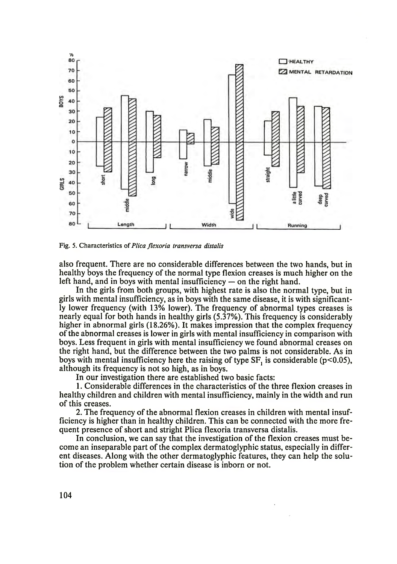

Fig. 5. Characteristics of *Plica flexoria transversa distalis*

also frequent. There are no considerable differences between the two hands, but in healthy boys the frequency of the normal type flexion creases is much higher on the left hand, and in boys with mental insufficiency — on the right hand.

In the girls from both groups, with highest rate is also the normal type, but in girls with mental insufficiency, as in boys with the same disease, it is with significantly lower frequency (with 13% lower). The frequency of abnormal types creases is nearly equal for both hands in healthy girls (5.37%). This frequency is considerably higher in abnormal girls (18.26%). It makes impression that the complex frequency of the abnormal creases is lower in girls with mental insufficiency in comparison with boys. Less frequent in girls with mental insufficiency we found abnormal creases on the right hand, but the difference between the two palms is not considerable. As in boys with mental insufficiency here the raising of type SF, is considerable ( $p$ <0.05), although its frequency is not so high, as in boys.

In our investigation there are established two basic facts:

1. Considerable differences in the characteristics of the three flexion creases in healthy children and children with mental insufficiency, mainly in the width and run of this creases.

2. The frequency of the abnormal flexion creases in children with mental insufficiency is higher than in healthy children. This can be connected with the more frequent presence of short and stright Plica flexoria transversa distalis.

In conclusion, we can say that the investigation of the flexion creases must become an inseparable part of the complex dermatoglyphic status, especially in different diseases. Along with the other dermatoglyphic features, they can help the solution of the problem whether certain disease is inborn or not.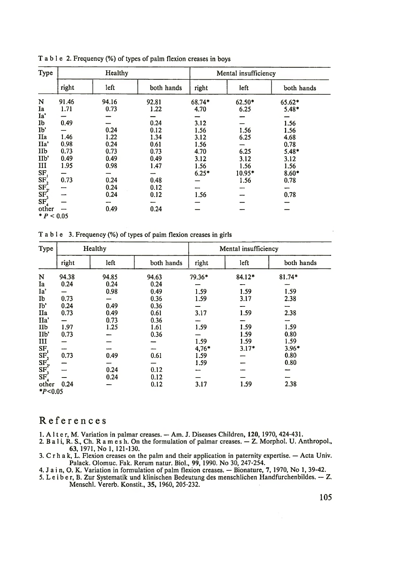| Type                                                                                                 |       | Healthy |            |         | Mental insufficiency |            |  |
|------------------------------------------------------------------------------------------------------|-------|---------|------------|---------|----------------------|------------|--|
|                                                                                                      | right | left    | both hands | right   | left                 | both hands |  |
| N                                                                                                    | 91.46 | 94.16   | 92.81      | 68.74*  | 62.50*               | $65.62*$   |  |
| Ia                                                                                                   | 1.71  | 0.73    | 1.22       | 4.70    | 6.25                 | $5.48*$    |  |
| Ia'                                                                                                  |       |         |            |         |                      |            |  |
| Ib                                                                                                   | 0.49  |         | 0.24       | 3.12    |                      | 1.56       |  |
| Ib'                                                                                                  |       | 0.24    | 0.12       | 1.56    | 1.56                 | 1.56       |  |
| IIa                                                                                                  | 1.46  | 1.22    | 1.34       | 3.12    | 6.25                 | 4.68       |  |
| IIa'                                                                                                 | 0.98  | 0.24    | 0.61       | 1.56    |                      | 0.78       |  |
| IIb                                                                                                  | 0.73  | 0.73    | 0.73       | 4.70    | 6.25                 | $5.48*$    |  |
| IIb'                                                                                                 | 0.49  | 0.49    | 0.49       | 3.12    | 3.12                 | 3.12       |  |
| Ш                                                                                                    | 1.95  | 0.98    | 1.47       | 1.56    | 1.56                 | 1.56       |  |
|                                                                                                      |       |         |            | $6.25*$ | 10.95*               | $8.60*$    |  |
|                                                                                                      | 0.73  | 0.24    | 0.48       |         | 1.56                 | 0.78       |  |
|                                                                                                      |       | 0.24    | 0.12       |         |                      |            |  |
| $\begin{array}{l} \text{SF} \\ \text{SF}_2 \\ \text{SF}_2 \\ \text{SF}_3 \\ \text{SF}_3 \end{array}$ |       | 0.24    | 0.12       | 1.56    |                      | 0.78       |  |
|                                                                                                      |       |         |            |         |                      |            |  |
| other                                                                                                |       | 0.49    | 0.24       |         |                      |            |  |
| * $P < 0.05$                                                                                         |       |         |            |         |                      |            |  |

T a b l e 2. Frequency (%) of types of palm flexion creases in boys

T a b l e 3. Frequency (%) of types of paim flexion creases in girls

| Type                                                                                                                                                      | Healthy |       |            |         | Mental insufficiency |            |  |
|-----------------------------------------------------------------------------------------------------------------------------------------------------------|---------|-------|------------|---------|----------------------|------------|--|
|                                                                                                                                                           | right   | left  | both hands | right   | left                 | both hands |  |
| N                                                                                                                                                         | 94.38   | 94.85 | 94.63      | 79.36*  | 84.12*               | 81.74*     |  |
| Ia                                                                                                                                                        | 0.24    | 0.24  | 0.24       |         |                      |            |  |
| Ia'                                                                                                                                                       |         | 0.98  | 0.49       | 1.59    | 1.59                 | 1.59       |  |
| Ib                                                                                                                                                        | 0.73    |       | 0.36       | 1.59    | 3.17                 | 2.38       |  |
| Ip,                                                                                                                                                       | 0.24    | 0.49  | 0.36       |         |                      |            |  |
| IIa                                                                                                                                                       | 0.73    | 0.49  | 0.61       | 3.17    | 1.59                 | 2.38       |  |
| IIa'                                                                                                                                                      |         | 0.73  | 0.36       |         |                      |            |  |
| IIb                                                                                                                                                       | 1.97    | 1.25  | 1.61       | 1.59    | 1.59                 | 1.59       |  |
| II <sub>p</sub>                                                                                                                                           | 0.73    |       | 0.36       |         | 1.59                 | 0.80       |  |
| III                                                                                                                                                       |         |       |            | 1.59    | 1.59                 | 1.59       |  |
|                                                                                                                                                           |         |       |            | $4.76*$ | $3.17*$              | $3.96*$    |  |
| $\begin{array}{l} \mathbf{S}\mathbf{F}_1\\ \mathbf{S}\mathbf{F}_2\\ \mathbf{S}\mathbf{F}_3\\ \mathbf{S}\mathbf{F}_3\\ \mathbf{S}\mathbf{F}_4 \end{array}$ | 0.73    | 0.49  | 0.61       | 1.59    |                      | 0.80       |  |
|                                                                                                                                                           |         |       |            | 1.59    |                      | 0.80       |  |
|                                                                                                                                                           |         | 0.24  | 0.12       |         |                      |            |  |
|                                                                                                                                                           |         | 0.24  | 0.12       |         |                      |            |  |
| other                                                                                                                                                     | 0.24    |       | 0.12       | 3.17    | 1.59                 | 2.38       |  |
| $*P<0.05$                                                                                                                                                 |         |       |            |         |                      |            |  |

## References

- 
- 1. Alter, M. Variation in palmar creases. Am. J. Diseases Children, 120, 1970, 424-431.<br>2. Bali, R. S., Ch. R a m e s h. On the formulation of palmar creases. Z. Morphol. U. Anthropol.,
- 2. But i, R. S., Off L. Robert 1, R. S., 1971, No 1, 121-130.<br>
3. C r h a k, L. Flexion creases on the palm and their application in paternity expertise. Acta Univ.<br>
Palack. Olomuc. Fak. Rerum natur. Biol., 99, 1990. No
- 
- A Jain, O. K. Variation in formulation of palm flexion creases.  $-$  Bionature, 7, 1970, No 1, 39-42.<br>5. Leiber, B. Zur Systematik und klinischen Bedeutung des menschlichen Handfurchenbildes.  $-$  Z.<br>Menschl. Vererb. Konsti